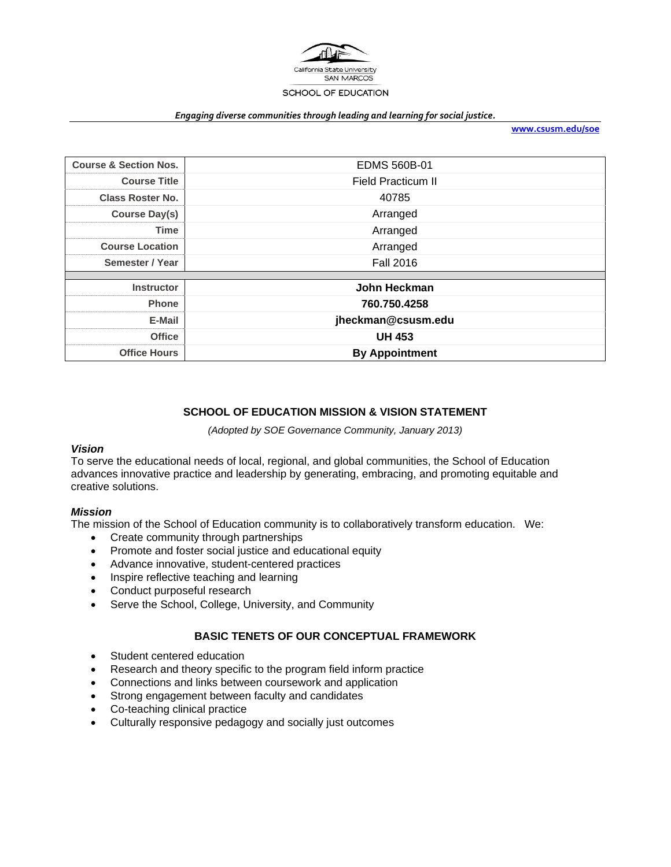

#### *Engaging diverse communities through leading and learning for social justice.*

**www.csusm.edu/soe**

| <b>Course &amp; Section Nos.</b> | EDMS 560B-01              |
|----------------------------------|---------------------------|
| <b>Course Title</b>              | <b>Field Practicum II</b> |
| <b>Class Roster No.</b>          | 40785                     |
| <b>Course Day(s)</b>             | Arranged                  |
| <b>Time</b>                      | Arranged                  |
| <b>Course Location</b>           | Arranged                  |
| Semester / Year                  | <b>Fall 2016</b>          |
|                                  |                           |
| <b>Instructor</b>                | John Heckman              |
| <b>Phone</b>                     | 760.750.4258              |
| E-Mail                           | jheckman@csusm.edu        |
| <b>Office</b>                    | <b>UH 453</b>             |
| <b>Office Hours</b>              | <b>By Appointment</b>     |

# **SCHOOL OF EDUCATION MISSION & VISION STATEMENT**

*(Adopted by SOE Governance Community, January 2013)* 

### *Vision*

To serve the educational needs of local, regional, and global communities, the School of Education advances innovative practice and leadership by generating, embracing, and promoting equitable and creative solutions.

# *Mission*

The mission of the School of Education community is to collaboratively transform education. We:

- Create community through partnerships
- Promote and foster social justice and educational equity
- Advance innovative, student-centered practices
- Inspire reflective teaching and learning
- Conduct purposeful research
- Serve the School, College, University, and Community

# **BASIC TENETS OF OUR CONCEPTUAL FRAMEWORK**

- Student centered education
- Research and theory specific to the program field inform practice
- Connections and links between coursework and application
- Strong engagement between faculty and candidates
- Co-teaching clinical practice
- Culturally responsive pedagogy and socially just outcomes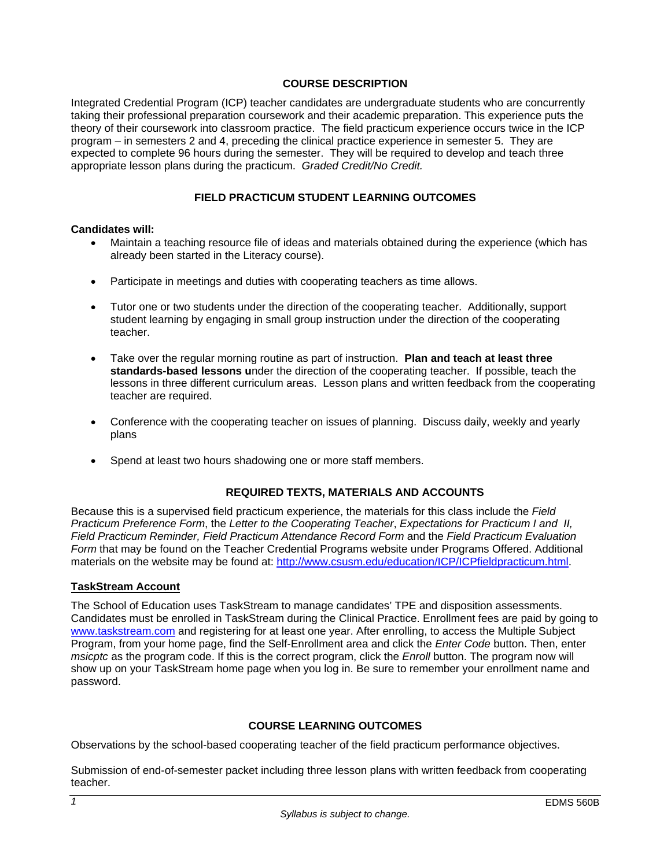## **COURSE DESCRIPTION**

Integrated Credential Program (ICP) teacher candidates are undergraduate students who are concurrently taking their professional preparation coursework and their academic preparation. This experience puts the theory of their coursework into classroom practice. The field practicum experience occurs twice in the ICP program – in semesters 2 and 4, preceding the clinical practice experience in semester 5. They are expected to complete 96 hours during the semester. They will be required to develop and teach three appropriate lesson plans during the practicum. *Graded Credit/No Credit.* 

## **FIELD PRACTICUM STUDENT LEARNING OUTCOMES**

### **Candidates will:**

- Maintain a teaching resource file of ideas and materials obtained during the experience (which has already been started in the Literacy course).
- Participate in meetings and duties with cooperating teachers as time allows.
- Tutor one or two students under the direction of the cooperating teacher. Additionally, support student learning by engaging in small group instruction under the direction of the cooperating teacher.
- Take over the regular morning routine as part of instruction. **Plan and teach at least three standards-based lessons u**nder the direction of the cooperating teacher. If possible, teach the lessons in three different curriculum areas. Lesson plans and written feedback from the cooperating teacher are required.
- Conference with the cooperating teacher on issues of planning. Discuss daily, weekly and yearly plans
- Spend at least two hours shadowing one or more staff members.

### **REQUIRED TEXTS, MATERIALS AND ACCOUNTS**

Because this is a supervised field practicum experience, the materials for this class include the *Field Practicum Preference Form*, the *Letter to the Cooperating Teacher*, *Expectations for Practicum I and II, Field Practicum Reminder, Field Practicum Attendance Record Form* and the *Field Practicum Evaluation Form* that may be found on the Teacher Credential Programs website under Programs Offered. Additional materials on the website may be found at: http://www.csusm.edu/education/ICP/ICPfieldpracticum.html.

### **TaskStream Account**

The School of Education uses TaskStream to manage candidates' TPE and disposition assessments. Candidates must be enrolled in TaskStream during the Clinical Practice. Enrollment fees are paid by going to www.taskstream.com and registering for at least one year. After enrolling, to access the Multiple Subject Program, from your home page, find the Self-Enrollment area and click the *Enter Code* button. Then, enter *msicptc* as the program code. If this is the correct program, click the *Enroll* button. The program now will show up on your TaskStream home page when you log in. Be sure to remember your enrollment name and password.

# **COURSE LEARNING OUTCOMES**

Observations by the school-based cooperating teacher of the field practicum performance objectives.

Submission of end-of-semester packet including three lesson plans with written feedback from cooperating teacher.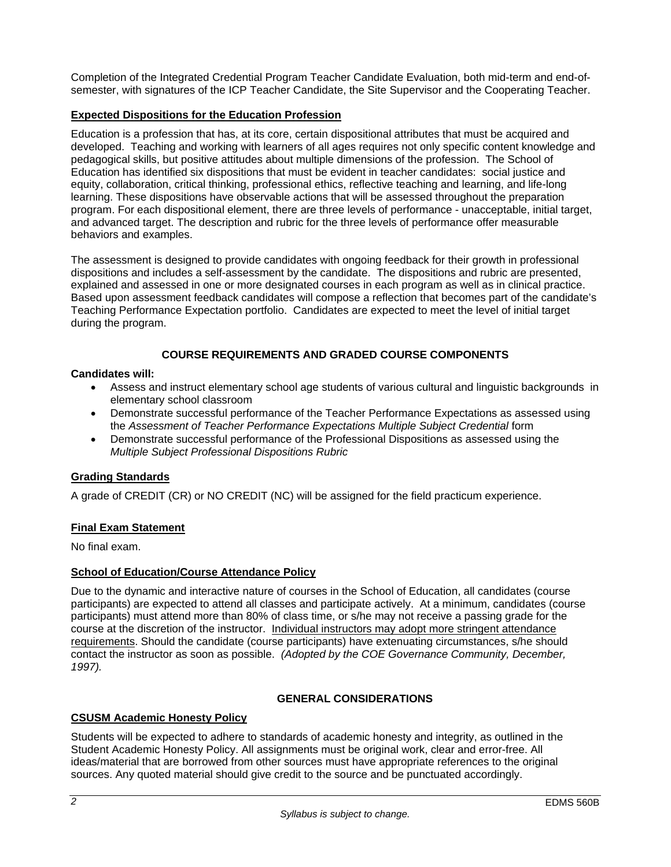Completion of the Integrated Credential Program Teacher Candidate Evaluation, both mid-term and end-ofsemester, with signatures of the ICP Teacher Candidate, the Site Supervisor and the Cooperating Teacher.

# **Expected Dispositions for the Education Profession**

Education is a profession that has, at its core, certain dispositional attributes that must be acquired and developed. Teaching and working with learners of all ages requires not only specific content knowledge and pedagogical skills, but positive attitudes about multiple dimensions of the profession. The School of Education has identified six dispositions that must be evident in teacher candidates: social justice and equity, collaboration, critical thinking, professional ethics, reflective teaching and learning, and life-long learning. These dispositions have observable actions that will be assessed throughout the preparation program. For each dispositional element, there are three levels of performance - unacceptable, initial target, and advanced target. The description and rubric for the three levels of performance offer measurable behaviors and examples.

The assessment is designed to provide candidates with ongoing feedback for their growth in professional dispositions and includes a self-assessment by the candidate. The dispositions and rubric are presented, explained and assessed in one or more designated courses in each program as well as in clinical practice. Based upon assessment feedback candidates will compose a reflection that becomes part of the candidate's Teaching Performance Expectation portfolio. Candidates are expected to meet the level of initial target during the program.

# **COURSE REQUIREMENTS AND GRADED COURSE COMPONENTS**

## **Candidates will:**

- Assess and instruct elementary school age students of various cultural and linguistic backgrounds in elementary school classroom
- Demonstrate successful performance of the Teacher Performance Expectations as assessed using the *Assessment of Teacher Performance Expectations Multiple Subject Credential* form
- Demonstrate successful performance of the Professional Dispositions as assessed using the *Multiple Subject Professional Dispositions Rubric*

# **Grading Standards**

A grade of CREDIT (CR) or NO CREDIT (NC) will be assigned for the field practicum experience.

# **Final Exam Statement**

No final exam.

# **School of Education/Course Attendance Policy**

Due to the dynamic and interactive nature of courses in the School of Education, all candidates (course participants) are expected to attend all classes and participate actively. At a minimum, candidates (course participants) must attend more than 80% of class time, or s/he may not receive a passing grade for the course at the discretion of the instructor. Individual instructors may adopt more stringent attendance requirements. Should the candidate (course participants) have extenuating circumstances, s/he should contact the instructor as soon as possible. *(Adopted by the COE Governance Community, December, 1997).* 

# **GENERAL CONSIDERATIONS**

# **CSUSM Academic Honesty Policy**

Students will be expected to adhere to standards of academic honesty and integrity, as outlined in the Student Academic Honesty Policy. All assignments must be original work, clear and error-free. All ideas/material that are borrowed from other sources must have appropriate references to the original sources. Any quoted material should give credit to the source and be punctuated accordingly.